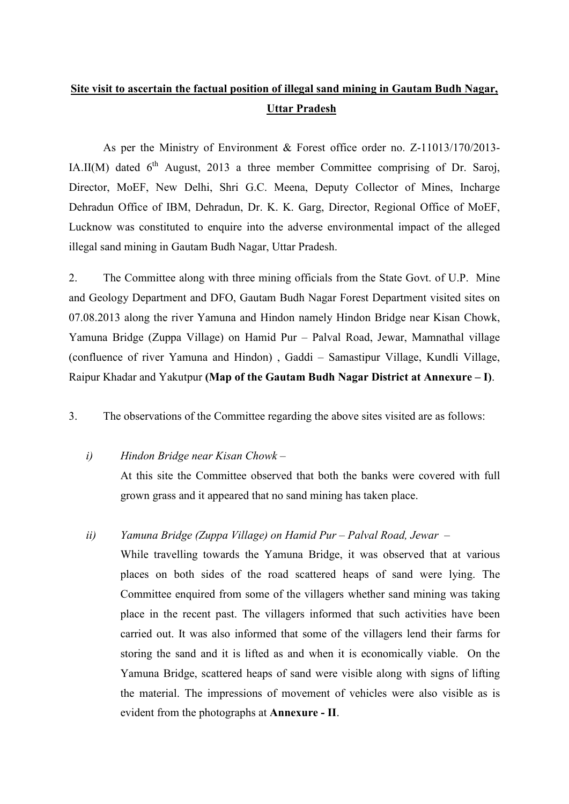# **Site visit to ascertain the factual position of illegal sand mining in Gautam Budh Nagar, Uttar Pradesh**

As per the Ministry of Environment & Forest office order no. Z-11013/170/2013- IA.II(M) dated  $6<sup>th</sup>$  August, 2013 a three member Committee comprising of Dr. Saroj, Director, MoEF, New Delhi, Shri G.C. Meena, Deputy Collector of Mines, Incharge Dehradun Office of IBM, Dehradun, Dr. K. K. Garg, Director, Regional Office of MoEF, Lucknow was constituted to enquire into the adverse environmental impact of the alleged illegal sand mining in Gautam Budh Nagar, Uttar Pradesh.

2. The Committee along with three mining officials from the State Govt. of U.P. Mine and Geology Department and DFO, Gautam Budh Nagar Forest Department visited sites on 07.08.2013 along the river Yamuna and Hindon namely Hindon Bridge near Kisan Chowk, Yamuna Bridge (Zuppa Village) on Hamid Pur – Palval Road, Jewar, Mamnathal village (confluence of river Yamuna and Hindon) , Gaddi – Samastipur Village, Kundli Village, Raipur Khadar and Yakutpur **(Map of the Gautam Budh Nagar District at Annexure – I)**.

3. The observations of the Committee regarding the above sites visited are as follows:

# *i) Hindon Bridge near Kisan Chowk* –

At this site the Committee observed that both the banks were covered with full grown grass and it appeared that no sand mining has taken place.

# *ii) Yamuna Bridge (Zuppa Village) on Hamid Pur – Palval Road, Jewar* –

While travelling towards the Yamuna Bridge, it was observed that at various places on both sides of the road scattered heaps of sand were lying. The Committee enquired from some of the villagers whether sand mining was taking place in the recent past. The villagers informed that such activities have been carried out. It was also informed that some of the villagers lend their farms for storing the sand and it is lifted as and when it is economically viable. On the Yamuna Bridge, scattered heaps of sand were visible along with signs of lifting the material. The impressions of movement of vehicles were also visible as is evident from the photographs at **Annexure - II**.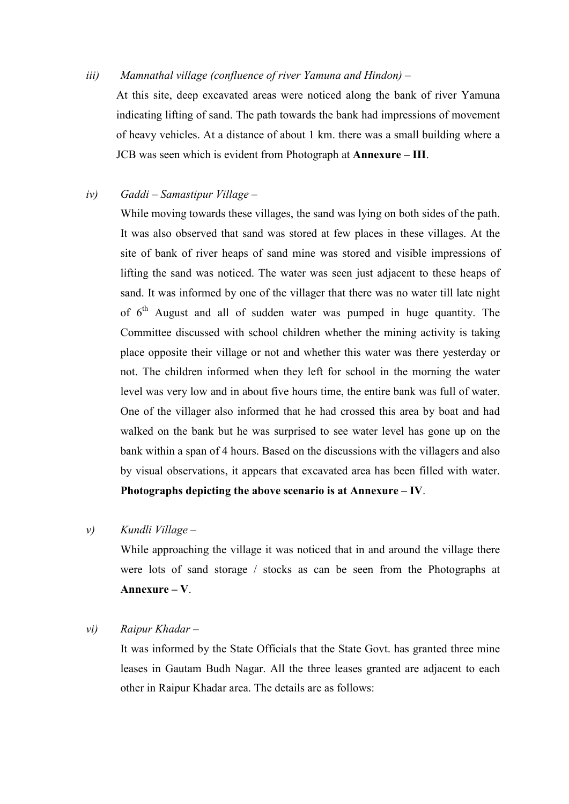#### *iii) Mamnathal village (confluence of river Yamuna and Hindon) –*

At this site, deep excavated areas were noticed along the bank of river Yamuna indicating lifting of sand. The path towards the bank had impressions of movement of heavy vehicles. At a distance of about 1 km. there was a small building where a JCB was seen which is evident from Photograph at **Annexure – III**.

### *iv) Gaddi – Samastipur Village –*

While moving towards these villages, the sand was lying on both sides of the path. It was also observed that sand was stored at few places in these villages. At the site of bank of river heaps of sand mine was stored and visible impressions of lifting the sand was noticed. The water was seen just adjacent to these heaps of sand. It was informed by one of the villager that there was no water till late night of  $6<sup>th</sup>$  August and all of sudden water was pumped in huge quantity. The Committee discussed with school children whether the mining activity is taking place opposite their village or not and whether this water was there yesterday or not. The children informed when they left for school in the morning the water level was very low and in about five hours time, the entire bank was full of water. One of the villager also informed that he had crossed this area by boat and had walked on the bank but he was surprised to see water level has gone up on the bank within a span of 4 hours. Based on the discussions with the villagers and also by visual observations, it appears that excavated area has been filled with water. **Photographs depicting the above scenario is at Annexure – IV**.

#### *v) Kundli Village –*

While approaching the village it was noticed that in and around the village there were lots of sand storage / stocks as can be seen from the Photographs at **Annexure – V**.

#### *vi) Raipur Khadar –*

It was informed by the State Officials that the State Govt. has granted three mine leases in Gautam Budh Nagar. All the three leases granted are adjacent to each other in Raipur Khadar area. The details are as follows: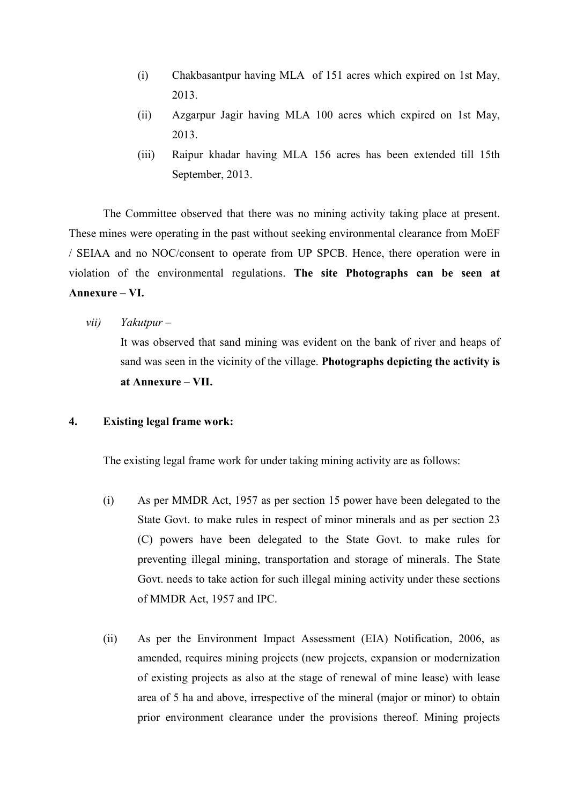- (i) Chakbasantpur having MLA of 151 acres which expired on 1st May, 2013.
- (ii) Azgarpur Jagir having MLA 100 acres which expired on 1st May, 2013.
- (iii) Raipur khadar having MLA 156 acres has been extended till 15th September, 2013.

The Committee observed that there was no mining activity taking place at present. These mines were operating in the past without seeking environmental clearance from MoEF / SEIAA and no NOC/consent to operate from UP SPCB. Hence, there operation were in violation of the environmental regulations. **The site Photographs can be seen at Annexure – VI.** 

*vii) Yakutpur –* 

It was observed that sand mining was evident on the bank of river and heaps of sand was seen in the vicinity of the village. **Photographs depicting the activity is at Annexure – VII.** 

# **4. Existing legal frame work:**

The existing legal frame work for under taking mining activity are as follows:

- (i) As per MMDR Act, 1957 as per section 15 power have been delegated to the State Govt. to make rules in respect of minor minerals and as per section 23 (C) powers have been delegated to the State Govt. to make rules for preventing illegal mining, transportation and storage of minerals. The State Govt. needs to take action for such illegal mining activity under these sections of MMDR Act, 1957 and IPC.
- (ii) As per the Environment Impact Assessment (EIA) Notification, 2006, as amended, requires mining projects (new projects, expansion or modernization of existing projects as also at the stage of renewal of mine lease) with lease area of 5 ha and above, irrespective of the mineral (major or minor) to obtain prior environment clearance under the provisions thereof. Mining projects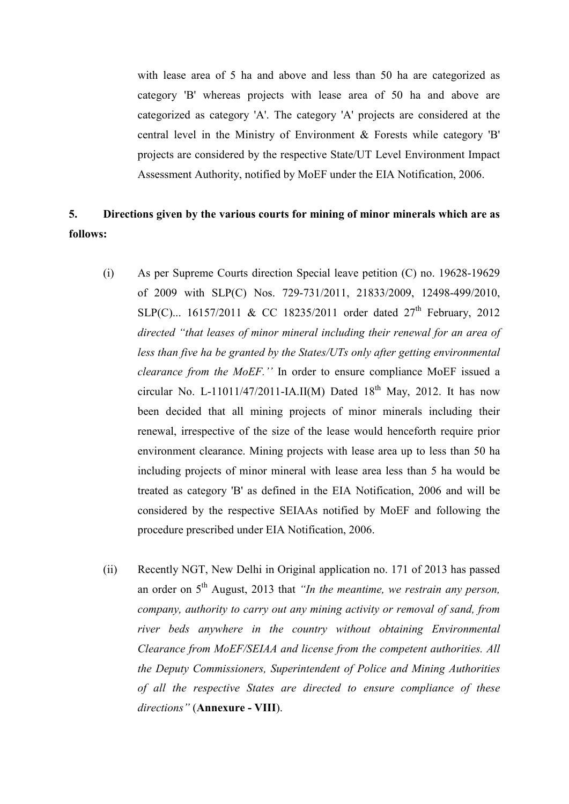with lease area of 5 ha and above and less than 50 ha are categorized as category 'B' whereas projects with lease area of 50 ha and above are categorized as category 'A'. The category 'A' projects are considered at the central level in the Ministry of Environment & Forests while category 'B' projects are considered by the respective State/UT Level Environment Impact Assessment Authority, notified by MoEF under the EIA Notification, 2006.

# **5. Directions given by the various courts for mining of minor minerals which are as follows:**

- (i) As per Supreme Courts direction Special leave petition (C) no. 19628-19629 of 2009 with SLP(C) Nos. 729-731/2011, 21833/2009, 12498-499/2010, SLP(C)... 16157/2011 & CC 18235/2011 order dated  $27<sup>th</sup>$  February, 2012 *directed "that leases of minor mineral including their renewal for an area of less than five ha be granted by the States/UTs only after getting environmental clearance from the MoEF.''* In order to ensure compliance MoEF issued a circular No. L-11011/47/2011-IA.II(M) Dated  $18<sup>th</sup>$  May, 2012. It has now been decided that all mining projects of minor minerals including their renewal, irrespective of the size of the lease would henceforth require prior environment clearance. Mining projects with lease area up to less than 50 ha including projects of minor mineral with lease area less than 5 ha would be treated as category 'B' as defined in the EIA Notification, 2006 and will be considered by the respective SEIAAs notified by MoEF and following the procedure prescribed under EIA Notification, 2006.
- (ii) Recently NGT, New Delhi in Original application no. 171 of 2013 has passed an order on 5<sup>th</sup> August, 2013 that *"In the meantime, we restrain any person, company, authority to carry out any mining activity or removal of sand, from river beds anywhere in the country without obtaining Environmental Clearance from MoEF/SEIAA and license from the competent authorities. All the Deputy Commissioners, Superintendent of Police and Mining Authorities of all the respective States are directed to ensure compliance of these directions"* (**Annexure - VIII**).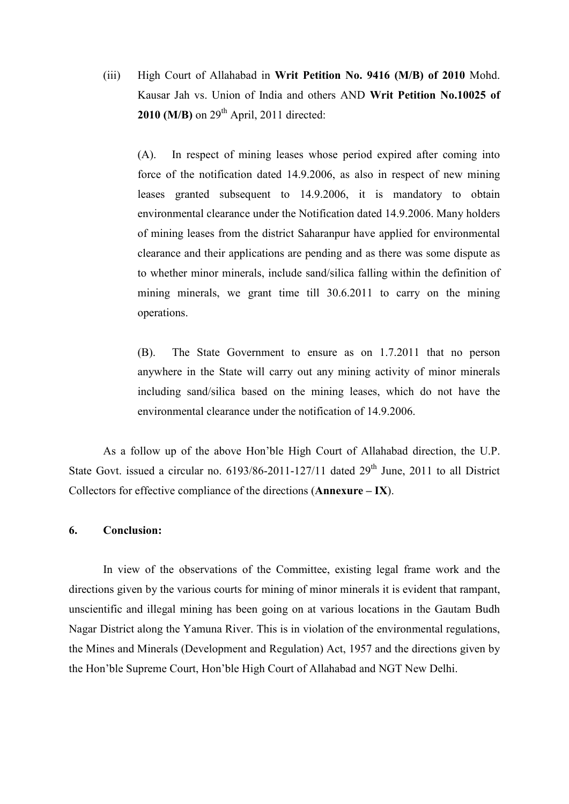(iii) High Court of Allahabad in **Writ Petition No. 9416 (M/B) of 2010** Mohd. Kausar Jah vs. Union of India and others AND **Writ Petition No.10025 of 2010 (M/B)** on  $29<sup>th</sup>$  April, 2011 directed:

(A). In respect of mining leases whose period expired after coming into force of the notification dated 14.9.2006, as also in respect of new mining leases granted subsequent to 14.9.2006, it is mandatory to obtain environmental clearance under the Notification dated 14.9.2006. Many holders of mining leases from the district Saharanpur have applied for environmental clearance and their applications are pending and as there was some dispute as to whether minor minerals, include sand/silica falling within the definition of mining minerals, we grant time till 30.6.2011 to carry on the mining operations.

(B). The State Government to ensure as on 1.7.2011 that no person anywhere in the State will carry out any mining activity of minor minerals including sand/silica based on the mining leases, which do not have the environmental clearance under the notification of 14.9.2006.

As a follow up of the above Hon'ble High Court of Allahabad direction, the U.P. State Govt. issued a circular no.  $6193/86-2011-127/11$  dated  $29<sup>th</sup>$  June, 2011 to all District Collectors for effective compliance of the directions (**Annexure – IX**).

#### **6. Conclusion:**

In view of the observations of the Committee, existing legal frame work and the directions given by the various courts for mining of minor minerals it is evident that rampant, unscientific and illegal mining has been going on at various locations in the Gautam Budh Nagar District along the Yamuna River. This is in violation of the environmental regulations, the Mines and Minerals (Development and Regulation) Act, 1957 and the directions given by the Hon'ble Supreme Court, Hon'ble High Court of Allahabad and NGT New Delhi.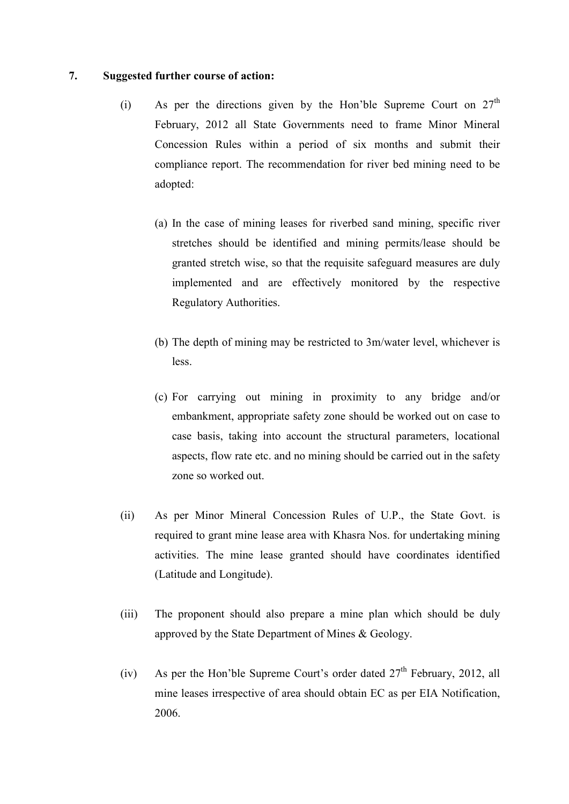# **7. Suggested further course of action:**

- (i) As per the directions given by the Hon'ble Supreme Court on  $27<sup>th</sup>$ February, 2012 all State Governments need to frame Minor Mineral Concession Rules within a period of six months and submit their compliance report. The recommendation for river bed mining need to be adopted:
	- (a) In the case of mining leases for riverbed sand mining, specific river stretches should be identified and mining permits/lease should be granted stretch wise, so that the requisite safeguard measures are duly implemented and are effectively monitored by the respective Regulatory Authorities.
	- (b) The depth of mining may be restricted to 3m/water level, whichever is less.
	- (c) For carrying out mining in proximity to any bridge and/or embankment, appropriate safety zone should be worked out on case to case basis, taking into account the structural parameters, locational aspects, flow rate etc. and no mining should be carried out in the safety zone so worked out.
- (ii) As per Minor Mineral Concession Rules of U.P., the State Govt. is required to grant mine lease area with Khasra Nos. for undertaking mining activities. The mine lease granted should have coordinates identified (Latitude and Longitude).
- (iii) The proponent should also prepare a mine plan which should be duly approved by the State Department of Mines & Geology.
- (iv) As per the Hon'ble Supreme Court's order dated  $27<sup>th</sup>$  February, 2012, all mine leases irrespective of area should obtain EC as per EIA Notification, 2006.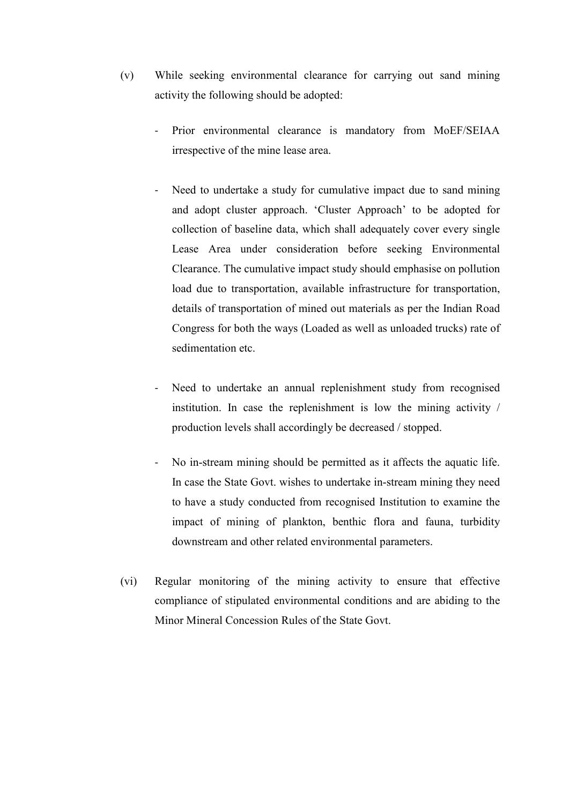- (v) While seeking environmental clearance for carrying out sand mining activity the following should be adopted:
	- Prior environmental clearance is mandatory from MoEF/SEIAA irrespective of the mine lease area.
	- Need to undertake a study for cumulative impact due to sand mining and adopt cluster approach. 'Cluster Approach' to be adopted for collection of baseline data, which shall adequately cover every single Lease Area under consideration before seeking Environmental Clearance. The cumulative impact study should emphasise on pollution load due to transportation, available infrastructure for transportation, details of transportation of mined out materials as per the Indian Road Congress for both the ways (Loaded as well as unloaded trucks) rate of sedimentation etc.
	- Need to undertake an annual replenishment study from recognised institution. In case the replenishment is low the mining activity / production levels shall accordingly be decreased / stopped.
	- No in-stream mining should be permitted as it affects the aquatic life. In case the State Govt. wishes to undertake in-stream mining they need to have a study conducted from recognised Institution to examine the impact of mining of plankton, benthic flora and fauna, turbidity downstream and other related environmental parameters.
- (vi) Regular monitoring of the mining activity to ensure that effective compliance of stipulated environmental conditions and are abiding to the Minor Mineral Concession Rules of the State Govt.